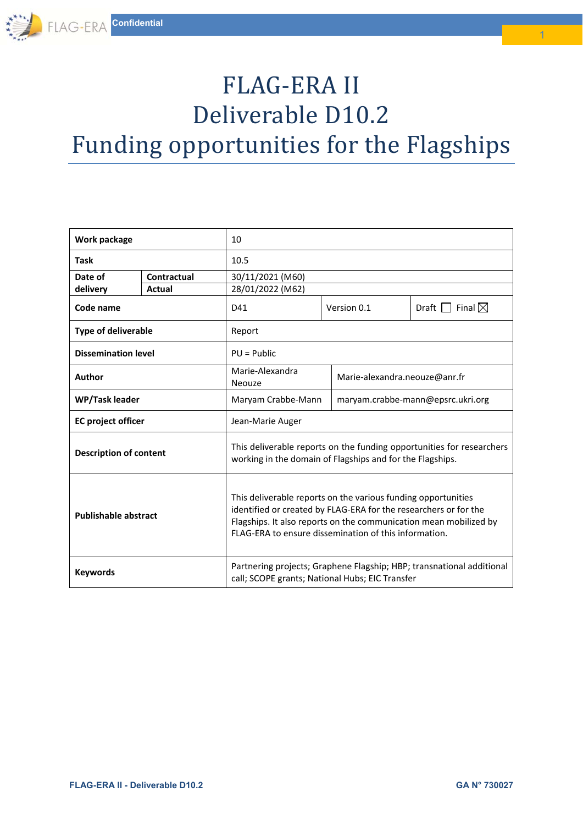# FLAG-ERA II Deliverable D10.2

Funding opportunities for the Flagships

| Work package                  |             | 10                                                                                                                                                                                                                                                              |  |                                               |  |  |
|-------------------------------|-------------|-----------------------------------------------------------------------------------------------------------------------------------------------------------------------------------------------------------------------------------------------------------------|--|-----------------------------------------------|--|--|
| <b>Task</b>                   |             | 10.5                                                                                                                                                                                                                                                            |  |                                               |  |  |
| Date of                       | Contractual | 30/11/2021 (M60)                                                                                                                                                                                                                                                |  |                                               |  |  |
| delivery                      | Actual      | 28/01/2022 (M62)                                                                                                                                                                                                                                                |  |                                               |  |  |
| Code name                     |             | D41                                                                                                                                                                                                                                                             |  | Draft $\Box$ Final $\boxtimes$<br>Version 0.1 |  |  |
| <b>Type of deliverable</b>    |             | Report                                                                                                                                                                                                                                                          |  |                                               |  |  |
| <b>Dissemination level</b>    |             | $PU = Public$                                                                                                                                                                                                                                                   |  |                                               |  |  |
| Author                        |             | Marie-Alexandra<br>Neouze                                                                                                                                                                                                                                       |  | Marie-alexandra.neouze@anr.fr                 |  |  |
| WP/Task leader                |             | Maryam Crabbe-Mann                                                                                                                                                                                                                                              |  | maryam.crabbe-mann@epsrc.ukri.org             |  |  |
| <b>EC</b> project officer     |             | Jean-Marie Auger                                                                                                                                                                                                                                                |  |                                               |  |  |
| <b>Description of content</b> |             | This deliverable reports on the funding opportunities for researchers<br>working in the domain of Flagships and for the Flagships.                                                                                                                              |  |                                               |  |  |
| <b>Publishable abstract</b>   |             | This deliverable reports on the various funding opportunities<br>identified or created by FLAG-ERA for the researchers or for the<br>Flagships. It also reports on the communication mean mobilized by<br>FLAG-ERA to ensure dissemination of this information. |  |                                               |  |  |
| <b>Keywords</b>               |             | Partnering projects; Graphene Flagship; HBP; transnational additional<br>call; SCOPE grants; National Hubs; EIC Transfer                                                                                                                                        |  |                                               |  |  |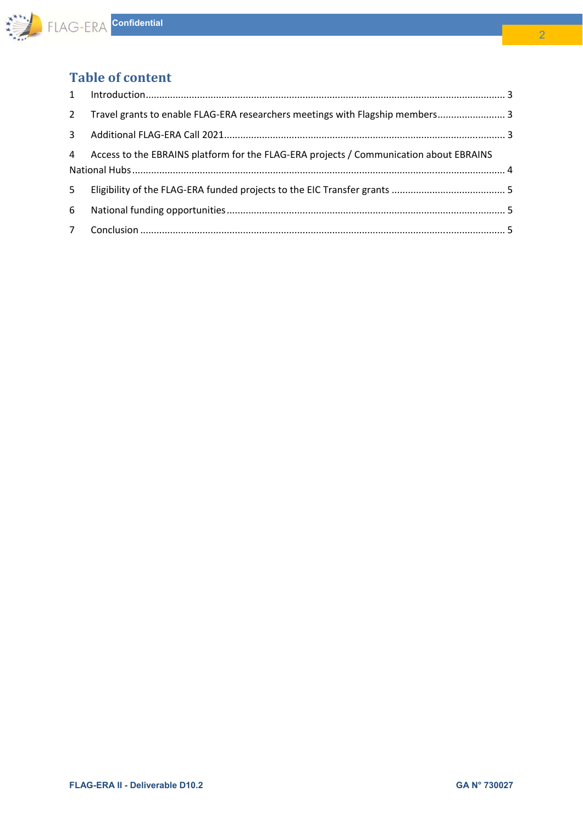

# **Table of content**

| $\overline{2}$ | Travel grants to enable FLAG-ERA researchers meetings with Flagship members 3          |  |
|----------------|----------------------------------------------------------------------------------------|--|
| $\mathbf{3}$   |                                                                                        |  |
| $\overline{4}$ | Access to the EBRAINS platform for the FLAG-ERA projects / Communication about EBRAINS |  |
| 5 <sup>1</sup> |                                                                                        |  |
| 6              |                                                                                        |  |
|                |                                                                                        |  |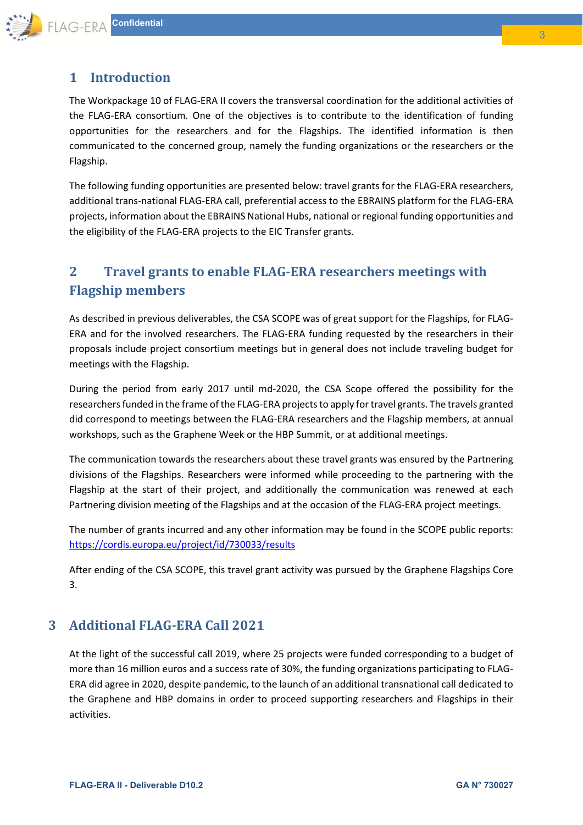

## **1 Introduction**

The Workpackage 10 of FLAG‐ERA II covers the transversal coordination for the additional activities of the FLAG-ERA consortium. One of the objectives is to contribute to the identification of funding opportunities for the researchers and for the Flagships. The identified information is then communicated to the concerned group, namely the funding organizations or the researchers or the Flagship.

The following funding opportunities are presented below: travel grants for the FLAG‐ERA researchers, additional trans‐national FLAG‐ERA call, preferential access to the EBRAINS platform for the FLAG‐ERA projects, information about the EBRAINS National Hubs, national or regional funding opportunities and the eligibility of the FLAG‐ERA projects to the EIC Transfer grants.

# **2 Travel grants to enable FLAG‐ERA researchers meetings with Flagship members**

As described in previous deliverables, the CSA SCOPE was of great support for the Flagships, for FLAG‐ ERA and for the involved researchers. The FLAG-ERA funding requested by the researchers in their proposals include project consortium meetings but in general does not include traveling budget for meetings with the Flagship.

During the period from early 2017 until md-2020, the CSA Scope offered the possibility for the researchers funded in the frame of the FLAG‐ERA projects to apply for travel grants. The travels granted did correspond to meetings between the FLAG‐ERA researchers and the Flagship members, at annual workshops, such as the Graphene Week or the HBP Summit, or at additional meetings.

The communication towards the researchers about these travel grants was ensured by the Partnering divisions of the Flagships. Researchers were informed while proceeding to the partnering with the Flagship at the start of their project, and additionally the communication was renewed at each Partnering division meeting of the Flagships and at the occasion of the FLAG‐ERA project meetings.

The number of grants incurred and any other information may be found in the SCOPE public reports: https://cordis.europa.eu/project/id/730033/results

After ending of the CSA SCOPE, this travel grant activity was pursued by the Graphene Flagships Core 3.

### **3 Additional FLAG‐ERA Call 2021**

At the light of the successful call 2019, where 25 projects were funded corresponding to a budget of more than 16 million euros and a success rate of 30%, the funding organizations participating to FLAG‐ ERA did agree in 2020, despite pandemic, to the launch of an additional transnational call dedicated to the Graphene and HBP domains in order to proceed supporting researchers and Flagships in their activities.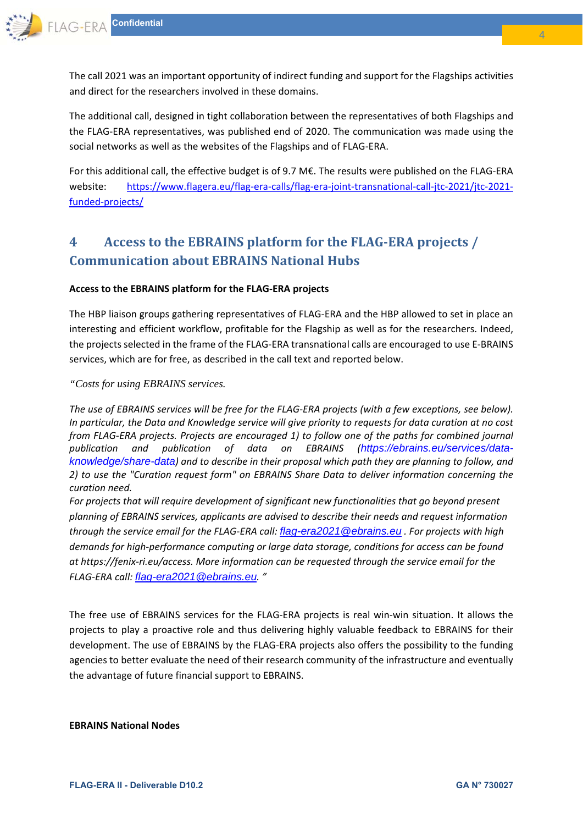The call 2021 was an important opportunity of indirect funding and support for the Flagships activities and direct for the researchers involved in these domains.

The additional call, designed in tight collaboration between the representatives of both Flagships and the FLAG‐ERA representatives, was published end of 2020. The communication was made using the social networks as well as the websites of the Flagships and of FLAG‐ERA.

For this additional call, the effective budget is of 9.7 M€. The results were published on the FLAG‐ERA website: https://www.flagera.eu/flag-era-calls/flag-era-joint-transnational-call-jtc-2021/jtc-2021funded‐projects/

# **4 Access to the EBRAINS platform for the FLAG‐ERA projects / Communication about EBRAINS National Hubs**

#### **Access to the EBRAINS platform for the FLAG‐ERA projects**

The HBP liaison groups gathering representatives of FLAG‐ERA and the HBP allowed to set in place an interesting and efficient workflow, profitable for the Flagship as well as for the researchers. Indeed, the projects selected in the frame of the FLAG‐ERA transnational calls are encouraged to use E‐BRAINS services, which are for free, as described in the call text and reported below.

#### *"Costs for using EBRAINS services.*

*The use of EBRAINS services will be free for the FLAG‐ERA projects (with a few exceptions, see below). In particular, the Data and Knowledge service will give priority to requests for data curation at no cost from FLAG‐ERA projects. Projects are encouraged 1) to follow one of the paths for combined journal publication and publication of data on EBRAINS (https://ebrains.eu/services/dataknowledge/share-data) and to describe in their proposal which path they are planning to follow, and 2) to use the "Curation request form" on EBRAINS Share Data to deliver information concerning the curation need.* 

*For projects that will require development of significant new functionalities that go beyond present planning of EBRAINS services, applicants are advised to describe their needs and request information through the service email for the FLAG‐ERA call: flag-era2021@ebrains.eu . For projects with high demands for high‐performance computing or large data storage, conditions for access can be found at https://fenix‐ri.eu/access. More information can be requested through the service email for the FLAG‐ERA call: flag-era2021@ebrains.eu. "* 

The free use of EBRAINS services for the FLAG-ERA projects is real win-win situation. It allows the projects to play a proactive role and thus delivering highly valuable feedback to EBRAINS for their development. The use of EBRAINS by the FLAG‐ERA projects also offers the possibility to the funding agencies to better evaluate the need of their research community of the infrastructure and eventually the advantage of future financial support to EBRAINS.

#### **EBRAINS National Nodes**